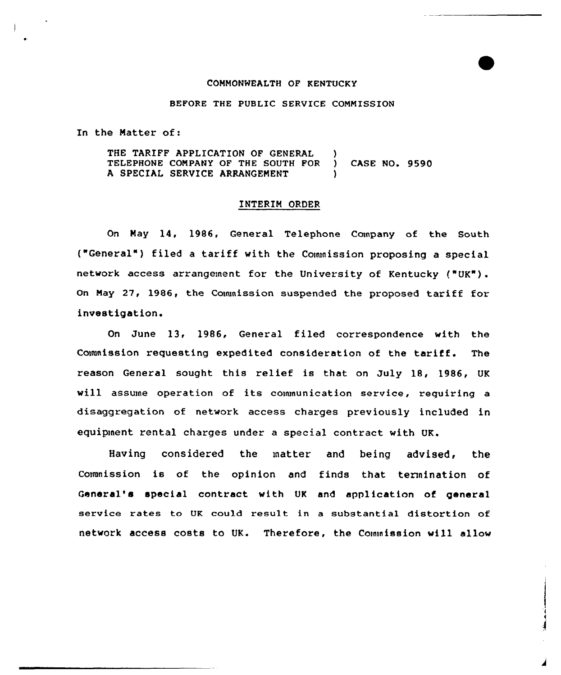## COMMONWEALTH OF KENTUCKY

## BEFORE THE PUBLIC SERVICE COMMISSION

In the Matter of:

THE TARIFF APPLICATION OF GENERAL ) TELEPHONE COMPANY OF THE SOUTH FOR ) CASE NO. 9590 A SPECIAL SERVICE ARRANGEMENT

## INTERIM ORDER

On May 14, 1986, General Telephone Company of the South ("General" ) filed <sup>a</sup> tariff with the Commission proposing <sup>a</sup> special network access arxangement for the University of Kentucky ("UK"). On May 27, 1986, the Couunission suspended the proposed tariff for investigation.

On June 13, 1986, General filed correspondence with the Commission requesting expedited consideration of the tariff. The reason General sought this relief is that on July 18, 1986, UK will assume operation of its communication service, requiring a disaggregation of netwoxk access charges previously included in equipinent rental charges under a special contract with UK.

Having considered the matter and being advised, the Commission is of the opinion and finds that termination of Genexal's special contract with UK and application of general service rates to UK could result in a substantial distortion of network access costs to UK. Therefore, the Coinmission will allow